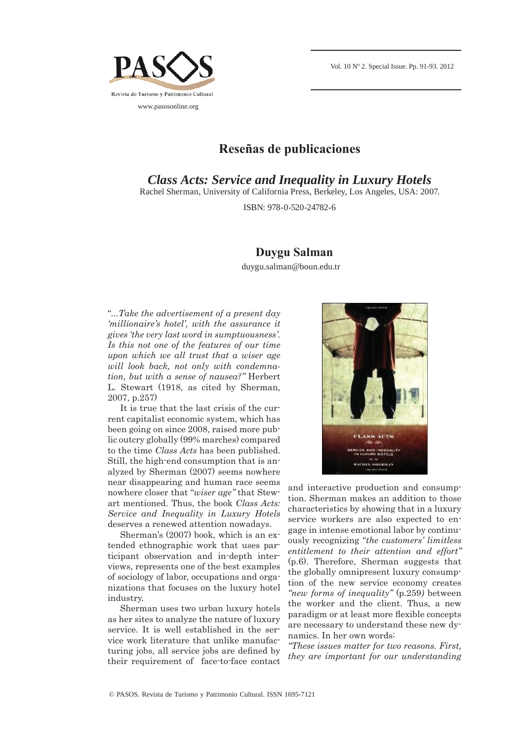

## **Reseñas de publicaciones**

*Class Acts: Service and Inequality in Luxury Hotels* 

Rachel Sherman, University of California Press, Berkeley, Los Angeles, USA: 2007.

ISBN: 978-0-520-24782-6

## **Duygu Salman**

duygu.salman@boun.edu.tr

"*...Take the advertisement of a present day 'millionaire's hotel', with the assurance it gives 'the very last word in sumptuousness'. Is this not one of the features of our time upon which we all trust that a wiser age will look back, not only with condemnation, but with a sense of nausea?"* Herbert L. Stewart (1918, as cited by Sherman, 2007, p.257)

It is true that the last crisis of the current capitalist economic system, which has been going on since 2008, raised more public outcry globally (99% marches) compared to the time *Class Acts* has been published. Still, the high-end consumption that is analyzed by Sherman (2007) seems nowhere near disappearing and human race seems nowhere closer that "*wiser age"* that Stewart mentioned. Thus, the book *Class Acts: Service and Inequality in Luxury Hotels* deserves a renewed attention nowadays.

Sherman's (2007) book, which is an extended ethnographic work that uses participant observation and in-depth interviews, represents one of the best examples of sociology of labor, occupations and organizations that focuses on the luxury hotel industry.

Sherman uses two urban luxury hotels as her sites to analyze the nature of luxury service. It is well established in the service work literature that unlike manufacturing jobs, all service jobs are defined by their requirement of face-to-face contact



and interactive production and consumption. Sherman makes an addition to those characteristics by showing that in a luxury service workers are also expected to engage in intense emotional labor by continuously recognizing "*the customers' limitless entitlement to their attention and effort"* (p.6). Therefore, Sherman suggests that the globally omnipresent luxury consumption of the new service economy creates *"new forms of inequality"* (p.259*)* between the worker and the client. Thus, a new paradigm or at least more flexible concepts are necessary to understand these new dynamics. In her own words:

*"These issues matter for two reasons. First, they are important for our understanding*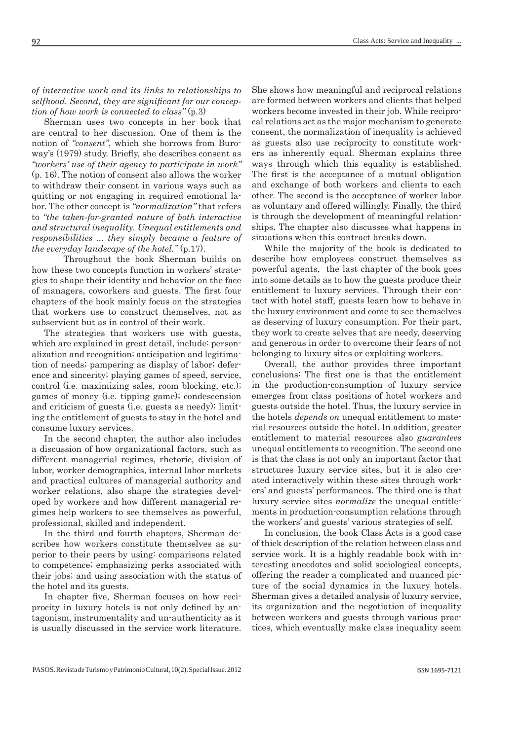*of interactive work and its links to relationships to*  selfhood. Second, they are significant for our concep*tion of how work is connected to class"* (p.3)

Sherman uses two concepts in her book that are central to her discussion. One of them is the notion of *"consent"*, which she borrows from Buroway's (1979) study. Briefly, she describes consent as *"workers' use of their agency to participate in work"* (p. 16). The notion of consent also allows the worker to withdraw their consent in various ways such as quitting or not engaging in required emotional labor. The other concept is *"normalization"* that refers to *"the taken-for-granted nature of both interactive and structural inequality. Unequal entitlements and responsibilities ... they simply became a feature of the everyday landscape of the hotel."* (p.17).

 Throughout the book Sherman builds on how these two concepts function in workers' strategies to shape their identity and behavior on the face of managers, coworkers and guests. The first four chapters of the book mainly focus on the strategies that workers use to construct themselves, not as subservient but as in control of their work.

The strategies that workers use with guests, which are explained in great detail, include: personalization and recognition; anticipation and legitimation of needs; pampering as display of labor; deference and sincerity; playing games of speed, service, control (i.e. maximizing sales, room blocking, etc.); games of money (i.e. tipping game); condescension and criticism of guests (i.e. guests as needy); limiting the entitlement of guests to stay in the hotel and consume luxury services.

In the second chapter, the author also includes a discussion of how organizational factors, such as different managerial regimes, rhetoric, division of labor, worker demographics, internal labor markets and practical cultures of managerial authority and worker relations, also shape the strategies developed by workers and how different managerial regimes help workers to see themselves as powerful, professional, skilled and independent.

In the third and fourth chapters, Sherman describes how workers constitute themselves as superior to their peers by using: comparisons related to competence; emphasizing perks associated with their jobs; and using association with the status of the hotel and its guests.

In chapter five, Sherman focuses on how reciprocity in luxury hotels is not only defined by antagonism, instrumentality and un-authenticity as it is usually discussed in the service work literature. She shows how meaningful and reciprocal relations are formed between workers and clients that helped workers become invested in their job. While reciprocal relations act as the major mechanism to generate consent, the normalization of inequality is achieved as guests also use reciprocity to constitute workers as inherently equal. Sherman explains three ways through which this equality is established. The first is the acceptance of a mutual obligation and exchange of both workers and clients to each other. The second is the acceptance of worker labor as voluntary and offered willingly. Finally, the third is through the development of meaningful relationships. The chapter also discusses what happens in situations when this contract breaks down.

While the majority of the book is dedicated to describe how employees construct themselves as powerful agents, the last chapter of the book goes into some details as to how the guests produce their entitlement to luxury services. Through their contact with hotel staff, guests learn how to behave in the luxury environment and come to see themselves as deserving of luxury consumption. For their part, they work to create selves that are needy, deserving and generous in order to overcome their fears of not belonging to luxury sites or exploiting workers.

Overall, the author provides three important conclusions: The first one is that the entitlement in the production-consumption of luxury service emerges from class positions of hotel workers and guests outside the hotel. Thus, the luxury service in the hotels *depends on* unequal entitlement to material resources outside the hotel. In addition, greater entitlement to material resources also *guarantees* unequal entitlements to recognition. The second one is that the class is not only an important factor that structures luxury service sites, but it is also created interactively within these sites through workers' and guests' performances. The third one is that luxury service sites *normalize* the unequal entitlements in production-consumption relations through the workers' and guests' various strategies of self.

In conclusion, the book Class Acts is a good case of thick description of the relation between class and service work. It is a highly readable book with interesting anecdotes and solid sociological concepts, offering the reader a complicated and nuanced picture of the social dynamics in the luxury hotels. Sherman gives a detailed analysis of luxury service, its organization and the negotiation of inequality between workers and guests through various practices, which eventually make class inequality seem